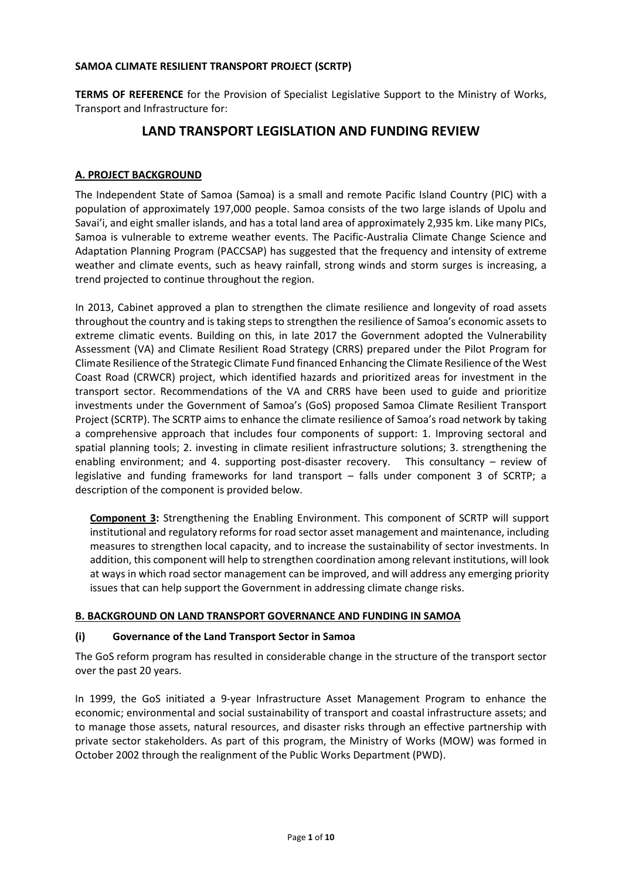# **SAMOA CLIMATE RESILIENT TRANSPORT PROJECT (SCRTP)**

**TERMS OF REFERENCE** for the Provision of Specialist Legislative Support to the Ministry of Works, Transport and Infrastructure for:

# **LAND TRANSPORT LEGISLATION AND FUNDING REVIEW**

# **A. PROJECT BACKGROUND**

The Independent State of Samoa (Samoa) is a small and remote Pacific Island Country (PIC) with a population of approximately 197,000 people. Samoa consists of the two large islands of Upolu and Savai'i, and eight smaller islands, and has a total land area of approximately 2,935 km. Like many PICs, Samoa is vulnerable to extreme weather events. The Pacific-Australia Climate Change Science and Adaptation Planning Program (PACCSAP) has suggested that the frequency and intensity of extreme weather and climate events, such as heavy rainfall, strong winds and storm surges is increasing, a trend projected to continue throughout the region.

In 2013, Cabinet approved a plan to strengthen the climate resilience and longevity of road assets throughout the country and is taking steps to strengthen the resilience of Samoa's economic assets to extreme climatic events. Building on this, in late 2017 the Government adopted the Vulnerability Assessment (VA) and Climate Resilient Road Strategy (CRRS) prepared under the Pilot Program for Climate Resilience of the Strategic Climate Fund financed Enhancing the Climate Resilience of the West Coast Road (CRWCR) project, which identified hazards and prioritized areas for investment in the transport sector. Recommendations of the VA and CRRS have been used to guide and prioritize investments under the Government of Samoa's (GoS) proposed Samoa Climate Resilient Transport Project (SCRTP). The SCRTP aims to enhance the climate resilience of Samoa's road network by taking a comprehensive approach that includes four components of support: 1. Improving sectoral and spatial planning tools; 2. investing in climate resilient infrastructure solutions; 3. strengthening the enabling environment; and 4. supporting post-disaster recovery. This consultancy – review of legislative and funding frameworks for land transport – falls under component 3 of SCRTP; a description of the component is provided below.

**Component 3:** Strengthening the Enabling Environment. This component of SCRTP will support institutional and regulatory reforms for road sector asset management and maintenance, including measures to strengthen local capacity, and to increase the sustainability of sector investments. In addition, this component will help to strengthen coordination among relevant institutions, will look at ways in which road sector management can be improved, and will address any emerging priority issues that can help support the Government in addressing climate change risks.

#### **B. BACKGROUND ON LAND TRANSPORT GOVERNANCE AND FUNDING IN SAMOA**

#### **(i) Governance of the Land Transport Sector in Samoa**

The GoS reform program has resulted in considerable change in the structure of the transport sector over the past 20 years.

In 1999, the GoS initiated a 9-year Infrastructure Asset Management Program to enhance the economic; environmental and social sustainability of transport and coastal infrastructure assets; and to manage those assets, natural resources, and disaster risks through an effective partnership with private sector stakeholders. As part of this program, the Ministry of Works (MOW) was formed in October 2002 through the realignment of the Public Works Department (PWD).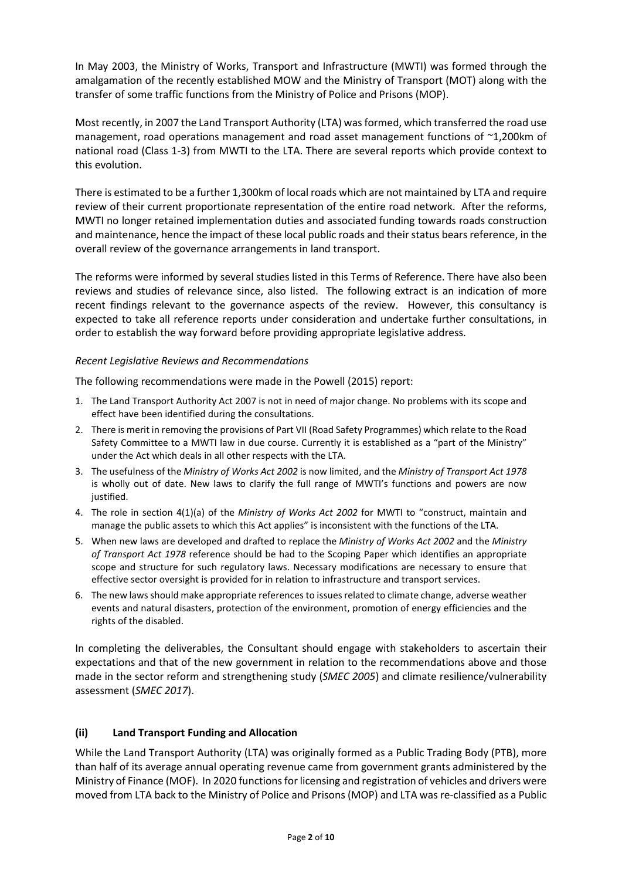In May 2003, the Ministry of Works, Transport and Infrastructure (MWTI) was formed through the amalgamation of the recently established MOW and the Ministry of Transport (MOT) along with the transfer of some traffic functions from the Ministry of Police and Prisons (MOP).

Most recently, in 2007 the Land Transport Authority (LTA) was formed, which transferred the road use management, road operations management and road asset management functions of ~1,200km of national road (Class 1-3) from MWTI to the LTA. There are several reports which provide context to this evolution.

There is estimated to be a further 1,300km of local roads which are not maintained by LTA and require review of their current proportionate representation of the entire road network. After the reforms, MWTI no longer retained implementation duties and associated funding towards roads construction and maintenance, hence the impact of these local public roads and their status bears reference, in the overall review of the governance arrangements in land transport.

The reforms were informed by several studies listed in this Terms of Reference. There have also been reviews and studies of relevance since, also listed. The following extract is an indication of more recent findings relevant to the governance aspects of the review. However, this consultancy is expected to take all reference reports under consideration and undertake further consultations, in order to establish the way forward before providing appropriate legislative address.

# *Recent Legislative Reviews and Recommendations*

The following recommendations were made in the Powell (2015) report:

- 1. The Land Transport Authority Act 2007 is not in need of major change. No problems with its scope and effect have been identified during the consultations.
- 2. There is merit in removing the provisions of Part VII (Road Safety Programmes) which relate to the Road Safety Committee to a MWTI law in due course. Currently it is established as a "part of the Ministry" under the Act which deals in all other respects with the LTA.
- 3. The usefulness of the *Ministry of Works Act 2002* is now limited, and the *Ministry of Transport Act 1978* is wholly out of date. New laws to clarify the full range of MWTI's functions and powers are now justified.
- 4. The role in section 4(1)(a) of the *Ministry of Works Act 2002* for MWTI to "construct, maintain and manage the public assets to which this Act applies" is inconsistent with the functions of the LTA.
- 5. When new laws are developed and drafted to replace the *Ministry of Works Act 2002* and the *Ministry of Transport Act 1978* reference should be had to the Scoping Paper which identifies an appropriate scope and structure for such regulatory laws. Necessary modifications are necessary to ensure that effective sector oversight is provided for in relation to infrastructure and transport services.
- 6. The new laws should make appropriate references to issues related to climate change, adverse weather events and natural disasters, protection of the environment, promotion of energy efficiencies and the rights of the disabled.

In completing the deliverables, the Consultant should engage with stakeholders to ascertain their expectations and that of the new government in relation to the recommendations above and those made in the sector reform and strengthening study (*SMEC 2005*) and climate resilience/vulnerability assessment (*SMEC 2017*).

# **(ii) Land Transport Funding and Allocation**

While the Land Transport Authority (LTA) was originally formed as a Public Trading Body (PTB), more than half of its average annual operating revenue came from government grants administered by the Ministry of Finance (MOF). In 2020 functions for licensing and registration of vehicles and drivers were moved from LTA back to the Ministry of Police and Prisons (MOP) and LTA was re-classified as a Public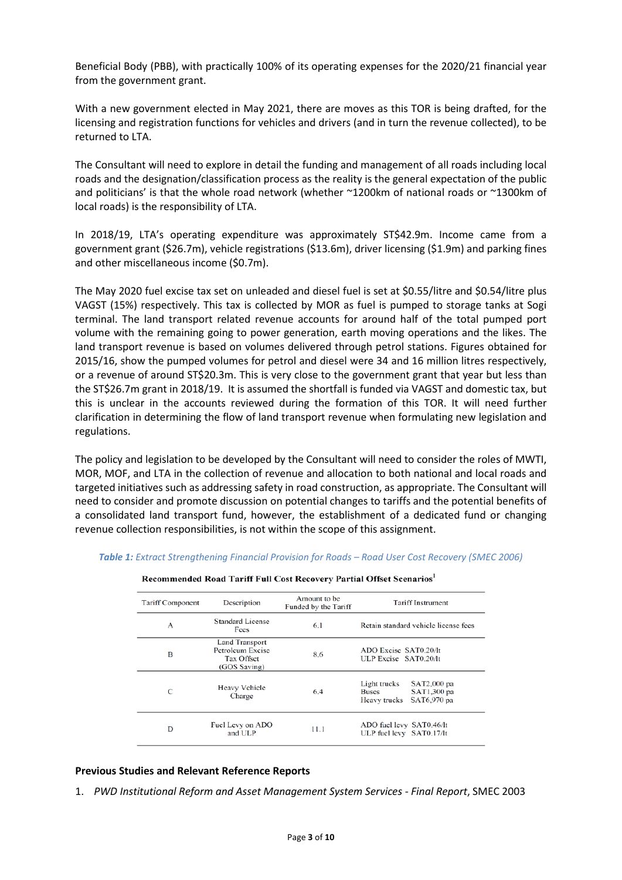Beneficial Body (PBB), with practically 100% of its operating expenses for the 2020/21 financial year from the government grant.

With a new government elected in May 2021, there are moves as this TOR is being drafted, for the licensing and registration functions for vehicles and drivers (and in turn the revenue collected), to be returned to LTA.

The Consultant will need to explore in detail the funding and management of all roads including local roads and the designation/classification process as the reality is the general expectation of the public and politicians' is that the whole road network (whether ~1200km of national roads or ~1300km of local roads) is the responsibility of LTA.

In 2018/19, LTA's operating expenditure was approximately ST\$42.9m. Income came from a government grant (\$26.7m), vehicle registrations (\$13.6m), driver licensing (\$1.9m) and parking fines and other miscellaneous income (\$0.7m).

The May 2020 fuel excise tax set on unleaded and diesel fuel is set at \$0.55/litre and \$0.54/litre plus VAGST (15%) respectively. This tax is collected by MOR as fuel is pumped to storage tanks at Sogi terminal. The land transport related revenue accounts for around half of the total pumped port volume with the remaining going to power generation, earth moving operations and the likes. The land transport revenue is based on volumes delivered through petrol stations. Figures obtained for 2015/16, show the pumped volumes for petrol and diesel were 34 and 16 million litres respectively, or a revenue of around ST\$20.3m. This is very close to the government grant that year but less than the ST\$26.7m grant in 2018/19. It is assumed the shortfall is funded via VAGST and domestic tax, but this is unclear in the accounts reviewed during the formation of this TOR. It will need further clarification in determining the flow of land transport revenue when formulating new legislation and regulations.

The policy and legislation to be developed by the Consultant will need to consider the roles of MWTI, MOR, MOF, and LTA in the collection of revenue and allocation to both national and local roads and targeted initiatives such as addressing safety in road construction, as appropriate. The Consultant will need to consider and promote discussion on potential changes to tariffs and the potential benefits of a consolidated land transport fund, however, the establishment of a dedicated fund or changing revenue collection responsibilities, is not within the scope of this assignment.

| <b>Tariff Component</b> | Description                                                             | Amount to be<br>Funded by the Tariff | <b>Tariff Instrument</b>                                                                  |
|-------------------------|-------------------------------------------------------------------------|--------------------------------------|-------------------------------------------------------------------------------------------|
| А                       | <b>Standard License</b><br>Fees                                         | 6.1                                  | Retain standard vehicle license fees                                                      |
| в                       | <b>Land Transport</b><br>Petroleum Excise<br>Tax Offset<br>(GOS Saving) | 8.6                                  | ADO Excise SAT0.20/lt<br>ULP Excise SAT0.20/lt                                            |
| C                       | Heavy Vehicle<br>Charge                                                 | 6.4                                  | Light trucks<br>SAT2,000 pa<br>SAT1,300 pa<br><b>Buses</b><br>SAT6,970 pa<br>Heavy trucks |
| D                       | Fuel Levy on ADO<br>and ULP                                             | 11.1                                 | ADO fuel levy SAT0.46/lt<br>ULP fuel levy SAT0.17/lt                                      |

*Table 1: Extract Strengthening Financial Provision for Roads – Road User Cost Recovery (SMEC 2006)*

 $1.15 \times 100 \times 100 \times 100$  $\cdots$  Portial Offect So  $\sim$ 

#### **Previous Studies and Relevant Reference Reports**

1. *PWD Institutional Reform and Asset Management System Services - Final Report*, SMEC 2003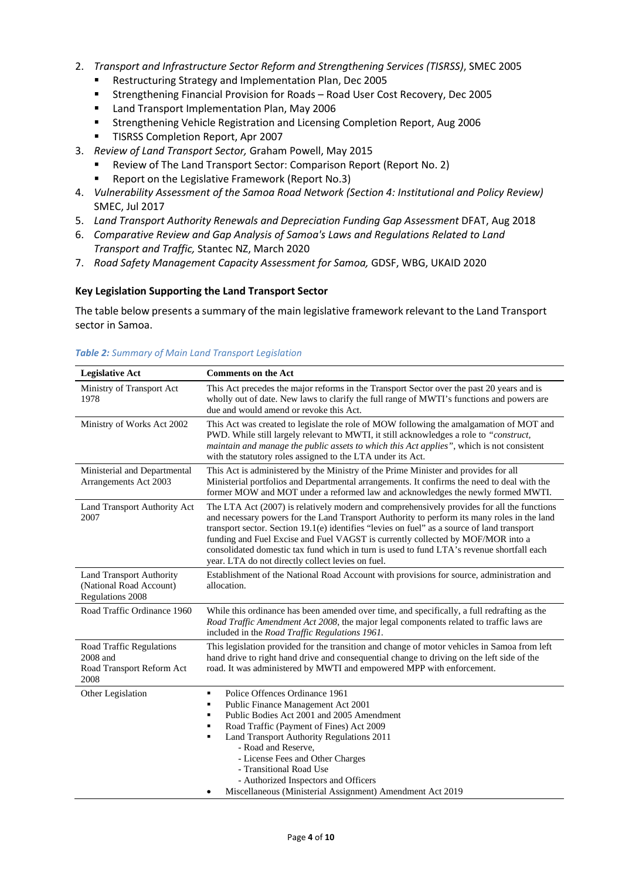- 2. *Transport and Infrastructure Sector Reform and Strengthening Services (TISRSS)*, SMEC 2005
	- Restructuring Strategy and Implementation Plan, Dec 2005
	- Strengthening Financial Provision for Roads Road User Cost Recovery, Dec 2005
	- **E** Land Transport Implementation Plan, May 2006
	- Strengthening Vehicle Registration and Licensing Completion Report, Aug 2006
	- **TISRSS Completion Report, Apr 2007**
- 3. *Review of Land Transport Sector,* Graham Powell, May 2015
	- Review of The Land Transport Sector: Comparison Report (Report No. 2)
	- Report on the Legislative Framework (Report No.3)
- 4. *Vulnerability Assessment of the Samoa Road Network (Section 4: Institutional and Policy Review)* SMEC, Jul 2017
- 5. *Land Transport Authority Renewals and Depreciation Funding Gap Assessment* DFAT, Aug 2018
- 6. *Comparative Review and Gap Analysis of Samoa's Laws and Regulations Related to Land Transport and Traffic,* Stantec NZ, March 2020
- 7. *Road Safety Management Capacity Assessment for Samoa,* GDSF, WBG, UKAID 2020

#### **Key Legislation Supporting the Land Transport Sector**

The table below presents a summary of the main legislative framework relevant to the Land Transport sector in Samoa.

| <b>Legislative Act</b>                                                         | <b>Comments on the Act</b>                                                                                                                                                                                                                                                                                                                                                                                                                                                                                                    |
|--------------------------------------------------------------------------------|-------------------------------------------------------------------------------------------------------------------------------------------------------------------------------------------------------------------------------------------------------------------------------------------------------------------------------------------------------------------------------------------------------------------------------------------------------------------------------------------------------------------------------|
| Ministry of Transport Act<br>1978                                              | This Act precedes the major reforms in the Transport Sector over the past 20 years and is<br>wholly out of date. New laws to clarify the full range of MWTI's functions and powers are<br>due and would amend or revoke this Act.                                                                                                                                                                                                                                                                                             |
| Ministry of Works Act 2002                                                     | This Act was created to legislate the role of MOW following the amalgamation of MOT and<br>PWD. While still largely relevant to MWTI, it still acknowledges a role to "construct,<br>maintain and manage the public assets to which this Act applies", which is not consistent<br>with the statutory roles assigned to the LTA under its Act.                                                                                                                                                                                 |
| Ministerial and Departmental<br>Arrangements Act 2003                          | This Act is administered by the Ministry of the Prime Minister and provides for all<br>Ministerial portfolios and Departmental arrangements. It confirms the need to deal with the<br>former MOW and MOT under a reformed law and acknowledges the newly formed MWTI.                                                                                                                                                                                                                                                         |
| Land Transport Authority Act<br>2007                                           | The LTA Act (2007) is relatively modern and comprehensively provides for all the functions<br>and necessary powers for the Land Transport Authority to perform its many roles in the land<br>transport sector. Section 19.1(e) identifies "levies on fuel" as a source of land transport<br>funding and Fuel Excise and Fuel VAGST is currently collected by MOF/MOR into a<br>consolidated domestic tax fund which in turn is used to fund LTA's revenue shortfall each<br>year. LTA do not directly collect levies on fuel. |
| <b>Land Transport Authority</b><br>(National Road Account)<br>Regulations 2008 | Establishment of the National Road Account with provisions for source, administration and<br>allocation.                                                                                                                                                                                                                                                                                                                                                                                                                      |
| Road Traffic Ordinance 1960                                                    | While this ordinance has been amended over time, and specifically, a full redrafting as the<br>Road Traffic Amendment Act 2008, the major legal components related to traffic laws are<br>included in the Road Traffic Regulations 1961.                                                                                                                                                                                                                                                                                      |
| Road Traffic Regulations<br>2008 and<br>Road Transport Reform Act<br>2008      | This legislation provided for the transition and change of motor vehicles in Samoa from left<br>hand drive to right hand drive and consequential change to driving on the left side of the<br>road. It was administered by MWTI and empowered MPP with enforcement.                                                                                                                                                                                                                                                           |
| Other Legislation                                                              | Police Offences Ordinance 1961<br>٠<br>Public Finance Management Act 2001<br>Public Bodies Act 2001 and 2005 Amendment<br>Road Traffic (Payment of Fines) Act 2009<br>Land Transport Authority Regulations 2011<br>- Road and Reserve,<br>- License Fees and Other Charges<br>- Transitional Road Use<br>- Authorized Inspectors and Officers<br>Miscellaneous (Ministerial Assignment) Amendment Act 2019                                                                                                                    |

#### *Table 2: Summary of Main Land Transport Legislation*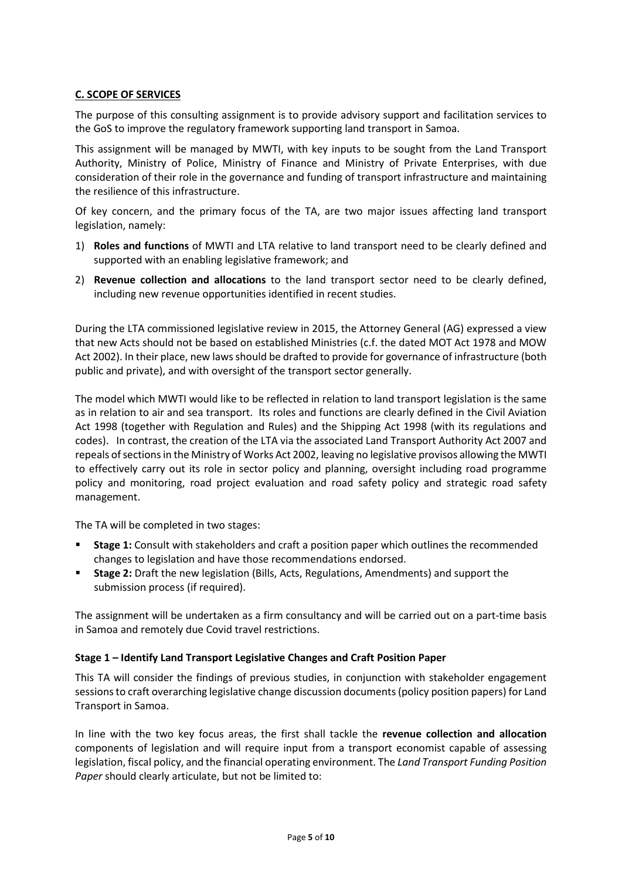# **C. SCOPE OF SERVICES**

The purpose of this consulting assignment is to provide advisory support and facilitation services to the GoS to improve the regulatory framework supporting land transport in Samoa.

This assignment will be managed by MWTI, with key inputs to be sought from the Land Transport Authority, Ministry of Police, Ministry of Finance and Ministry of Private Enterprises, with due consideration of their role in the governance and funding of transport infrastructure and maintaining the resilience of this infrastructure.

Of key concern, and the primary focus of the TA, are two major issues affecting land transport legislation, namely:

- 1) **Roles and functions** of MWTI and LTA relative to land transport need to be clearly defined and supported with an enabling legislative framework; and
- 2) **Revenue collection and allocations** to the land transport sector need to be clearly defined, including new revenue opportunities identified in recent studies.

During the LTA commissioned legislative review in 2015, the Attorney General (AG) expressed a view that new Acts should not be based on established Ministries (c.f. the dated MOT Act 1978 and MOW Act 2002). In their place, new laws should be drafted to provide for governance of infrastructure (both public and private), and with oversight of the transport sector generally.

The model which MWTI would like to be reflected in relation to land transport legislation is the same as in relation to air and sea transport. Its roles and functions are clearly defined in the Civil Aviation Act 1998 (together with Regulation and Rules) and the Shipping Act 1998 (with its regulations and codes). In contrast, the creation of the LTA via the associated Land Transport Authority Act 2007 and repeals of sections in the Ministry of Works Act 2002, leaving no legislative provisos allowing the MWTI to effectively carry out its role in sector policy and planning, oversight including road programme policy and monitoring, road project evaluation and road safety policy and strategic road safety management.

The TA will be completed in two stages:

- **Stage 1:** Consult with stakeholders and craft a position paper which outlines the recommended changes to legislation and have those recommendations endorsed.
- **Stage 2:** Draft the new legislation (Bills, Acts, Regulations, Amendments) and support the submission process (if required).

The assignment will be undertaken as a firm consultancy and will be carried out on a part-time basis in Samoa and remotely due Covid travel restrictions.

#### **Stage 1 – Identify Land Transport Legislative Changes and Craft Position Paper**

This TA will consider the findings of previous studies, in conjunction with stakeholder engagement sessions to craft overarching legislative change discussion documents(policy position papers) for Land Transport in Samoa.

In line with the two key focus areas, the first shall tackle the **revenue collection and allocation** components of legislation and will require input from a transport economist capable of assessing legislation, fiscal policy, and the financial operating environment. The *Land Transport Funding Position Paper* should clearly articulate, but not be limited to: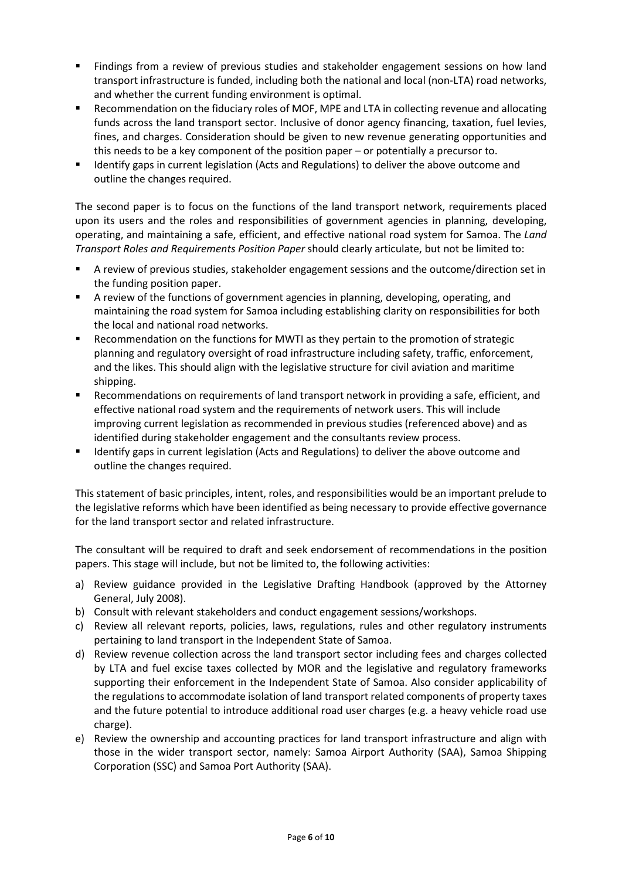- Findings from a review of previous studies and stakeholder engagement sessions on how land transport infrastructure is funded, including both the national and local (non-LTA) road networks, and whether the current funding environment is optimal.
- **Recommendation on the fiduciary roles of MOF, MPE and LTA in collecting revenue and allocating** funds across the land transport sector. Inclusive of donor agency financing, taxation, fuel levies, fines, and charges. Consideration should be given to new revenue generating opportunities and this needs to be a key component of the position paper – or potentially a precursor to.
- Identify gaps in current legislation (Acts and Regulations) to deliver the above outcome and outline the changes required.

The second paper is to focus on the functions of the land transport network, requirements placed upon its users and the roles and responsibilities of government agencies in planning, developing, operating, and maintaining a safe, efficient, and effective national road system for Samoa. The *Land Transport Roles and Requirements Position Paper* should clearly articulate, but not be limited to:

- A review of previous studies, stakeholder engagement sessions and the outcome/direction set in the funding position paper.
- A review of the functions of government agencies in planning, developing, operating, and maintaining the road system for Samoa including establishing clarity on responsibilities for both the local and national road networks.
- Recommendation on the functions for MWTI as they pertain to the promotion of strategic planning and regulatory oversight of road infrastructure including safety, traffic, enforcement, and the likes. This should align with the legislative structure for civil aviation and maritime shipping.
- Recommendations on requirements of land transport network in providing a safe, efficient, and effective national road system and the requirements of network users. This will include improving current legislation as recommended in previous studies (referenced above) and as identified during stakeholder engagement and the consultants review process.
- **IDENTIFY HALL STARK IS ADDENT IN A LOCAL STARK IS ADDED** Interpretions) to deliver the above outcome and outline the changes required.

This statement of basic principles, intent, roles, and responsibilities would be an important prelude to the legislative reforms which have been identified as being necessary to provide effective governance for the land transport sector and related infrastructure.

The consultant will be required to draft and seek endorsement of recommendations in the position papers. This stage will include, but not be limited to, the following activities:

- a) Review guidance provided in the Legislative Drafting Handbook (approved by the Attorney General, July 2008).
- b) Consult with relevant stakeholders and conduct engagement sessions/workshops.
- c) Review all relevant reports, policies, laws, regulations, rules and other regulatory instruments pertaining to land transport in the Independent State of Samoa.
- d) Review revenue collection across the land transport sector including fees and charges collected by LTA and fuel excise taxes collected by MOR and the legislative and regulatory frameworks supporting their enforcement in the Independent State of Samoa. Also consider applicability of the regulations to accommodate isolation of land transport related components of property taxes and the future potential to introduce additional road user charges (e.g. a heavy vehicle road use charge).
- e) Review the ownership and accounting practices for land transport infrastructure and align with those in the wider transport sector, namely: Samoa Airport Authority (SAA), Samoa Shipping Corporation (SSC) and Samoa Port Authority (SAA).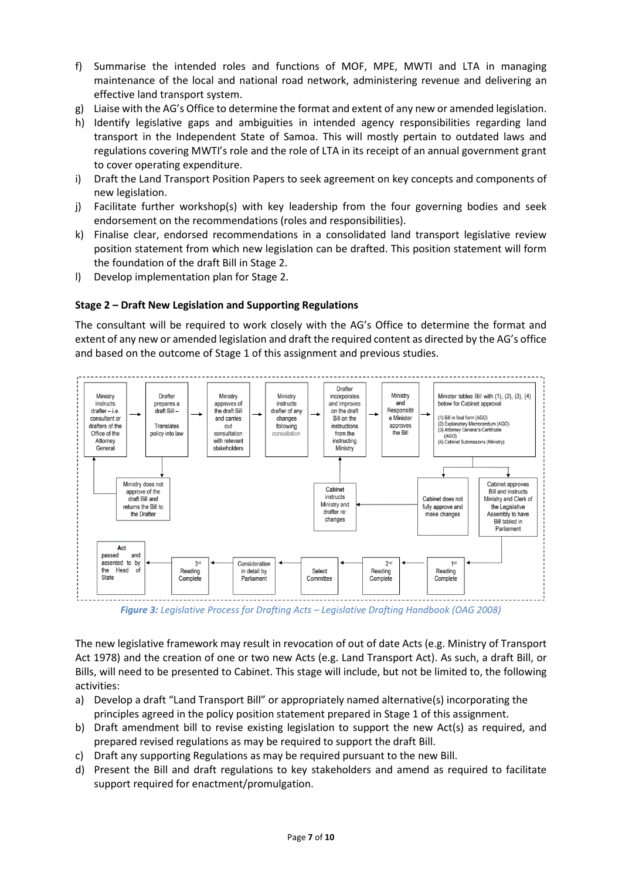- f) Summarise the intended roles and functions of MOF, MPE, MWTI and LTA in managing maintenance of the local and national road network, administering revenue and delivering an effective land transport system.
- g) Liaise with the AG's Office to determine the format and extent of any new or amended legislation.
- h) Identify legislative gaps and ambiguities in intended agency responsibilities regarding land transport in the Independent State of Samoa. This will mostly pertain to outdated laws and regulations covering MWTI's role and the role of LTA in its receipt of an annual government grant to cover operating expenditure.
- i) Draft the Land Transport Position Papers to seek agreement on key concepts and components of new legislation.
- j) Facilitate further workshop(s) with key leadership from the four governing bodies and seek endorsement on the recommendations (roles and responsibilities).
- k) Finalise clear, endorsed recommendations in a consolidated land transport legislative review position statement from which new legislation can be drafted. This position statement will form the foundation of the draft Bill in Stage 2.
- l) Develop implementation plan for Stage 2.

# **Stage 2 – Draft New Legislation and Supporting Regulations**

The consultant will be required to work closely with the AG's Office to determine the format and extent of any new or amended legislation and draft the required content as directed by the AG's office and based on the outcome of Stage 1 of this assignment and previous studies.



*Figure 3: Legislative Process for Drafting Acts – Legislative Drafting Handbook (OAG 2008)*

The new legislative framework may result in revocation of out of date Acts (e.g. Ministry of Transport Act 1978) and the creation of one or two new Acts (e.g. Land Transport Act). As such, a draft Bill, or Bills, will need to be presented to Cabinet. This stage will include, but not be limited to, the following activities:

- a) Develop a draft "Land Transport Bill" or appropriately named alternative(s) incorporating the principles agreed in the policy position statement prepared in Stage 1 of this assignment.
- b) Draft amendment bill to revise existing legislation to support the new Act(s) as required, and prepared revised regulations as may be required to support the draft Bill.
- c) Draft any supporting Regulations as may be required pursuant to the new Bill.
- d) Present the Bill and draft regulations to key stakeholders and amend as required to facilitate support required for enactment/promulgation.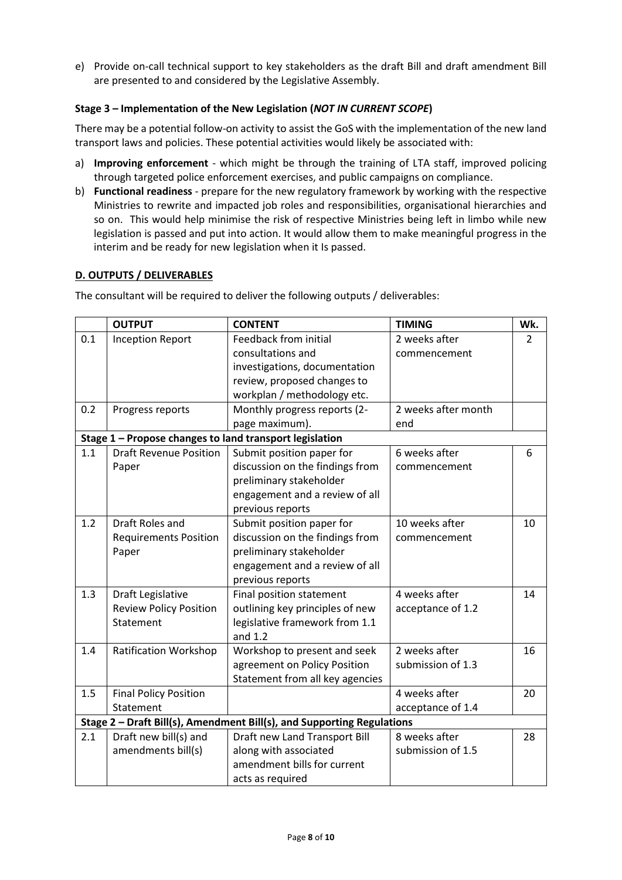e) Provide on-call technical support to key stakeholders as the draft Bill and draft amendment Bill are presented to and considered by the Legislative Assembly.

# **Stage 3 – Implementation of the New Legislation (***NOT IN CURRENT SCOPE***)**

There may be a potential follow-on activity to assist the GoS with the implementation of the new land transport laws and policies. These potential activities would likely be associated with:

- a) **Improving enforcement** which might be through the training of LTA staff, improved policing through targeted police enforcement exercises, and public campaigns on compliance.
- b) **Functional readiness**  prepare for the new regulatory framework by working with the respective Ministries to rewrite and impacted job roles and responsibilities, organisational hierarchies and so on. This would help minimise the risk of respective Ministries being left in limbo while new legislation is passed and put into action. It would allow them to make meaningful progress in the interim and be ready for new legislation when it Is passed.

# **D. OUTPUTS / DELIVERABLES**

The consultant will be required to deliver the following outputs / deliverables:

|     | <b>OUTPUT</b>                                           | <b>CONTENT</b>                                                         | <b>TIMING</b>       | Wk. |
|-----|---------------------------------------------------------|------------------------------------------------------------------------|---------------------|-----|
| 0.1 | <b>Inception Report</b>                                 | Feedback from initial                                                  | 2 weeks after       | 2   |
|     |                                                         | consultations and                                                      | commencement        |     |
|     |                                                         | investigations, documentation                                          |                     |     |
|     |                                                         | review, proposed changes to                                            |                     |     |
|     |                                                         | workplan / methodology etc.                                            |                     |     |
| 0.2 | Progress reports                                        | Monthly progress reports (2-                                           | 2 weeks after month |     |
|     |                                                         | page maximum).                                                         | end                 |     |
|     | Stage 1 - Propose changes to land transport legislation |                                                                        |                     |     |
| 1.1 | <b>Draft Revenue Position</b>                           | Submit position paper for                                              | 6 weeks after       | 6   |
|     | Paper                                                   | discussion on the findings from                                        | commencement        |     |
|     |                                                         | preliminary stakeholder                                                |                     |     |
|     |                                                         | engagement and a review of all                                         |                     |     |
|     |                                                         | previous reports                                                       |                     |     |
| 1.2 | Draft Roles and                                         | Submit position paper for                                              | 10 weeks after      | 10  |
|     | <b>Requirements Position</b>                            | discussion on the findings from                                        | commencement        |     |
|     | Paper                                                   | preliminary stakeholder                                                |                     |     |
|     |                                                         | engagement and a review of all                                         |                     |     |
|     |                                                         | previous reports                                                       |                     |     |
| 1.3 | Draft Legislative                                       | Final position statement                                               | 4 weeks after       | 14  |
|     | <b>Review Policy Position</b>                           | outlining key principles of new                                        | acceptance of 1.2   |     |
|     | Statement                                               | legislative framework from 1.1                                         |                     |     |
|     |                                                         | and $1.2$                                                              |                     |     |
| 1.4 | <b>Ratification Workshop</b>                            | Workshop to present and seek                                           | 2 weeks after       | 16  |
|     |                                                         | agreement on Policy Position                                           | submission of 1.3   |     |
|     |                                                         | Statement from all key agencies                                        |                     |     |
| 1.5 | <b>Final Policy Position</b>                            |                                                                        | 4 weeks after       | 20  |
|     | Statement                                               |                                                                        | acceptance of 1.4   |     |
|     |                                                         | Stage 2 - Draft Bill(s), Amendment Bill(s), and Supporting Regulations |                     |     |
| 2.1 | Draft new bill(s) and                                   | Draft new Land Transport Bill                                          | 8 weeks after       | 28  |
|     | amendments bill(s)                                      | along with associated                                                  | submission of 1.5   |     |
|     |                                                         | amendment bills for current                                            |                     |     |
|     |                                                         | acts as required                                                       |                     |     |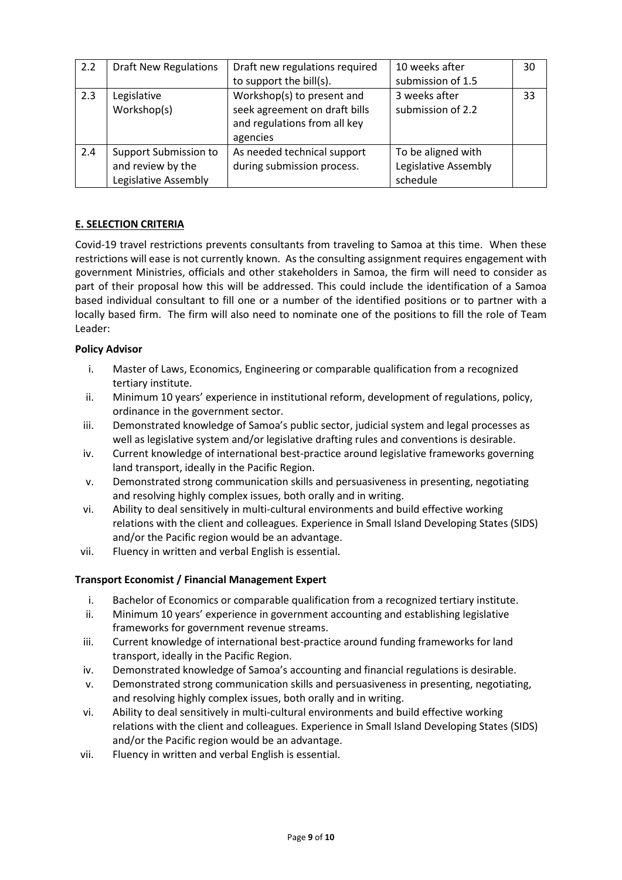| 2.2 | <b>Draft New Regulations</b>                                       | Draft new regulations required<br>to support the bill(s).                                               | 10 weeks after<br>submission of 1.5                    | 30 |
|-----|--------------------------------------------------------------------|---------------------------------------------------------------------------------------------------------|--------------------------------------------------------|----|
| 2.3 | Legislative<br>Workshop(s)                                         | Workshop(s) to present and<br>seek agreement on draft bills<br>and regulations from all key<br>agencies | 3 weeks after<br>submission of 2.2                     | 33 |
| 2.4 | Support Submission to<br>and review by the<br>Legislative Assembly | As needed technical support<br>during submission process.                                               | To be aligned with<br>Legislative Assembly<br>schedule |    |

# **E. SELECTION CRITERIA**

Covid-19 travel restrictions prevents consultants from traveling to Samoa at this time. When these restrictions will ease is not currently known. As the consulting assignment requires engagement with government Ministries, officials and other stakeholders in Samoa, the firm will need to consider as part of their proposal how this will be addressed. This could include the identification of a Samoa based individual consultant to fill one or a number of the identified positions or to partner with a locally based firm. The firm will also need to nominate one of the positions to fill the role of Team Leader:

# **Policy Advisor**

- i. Master of Laws, Economics, Engineering or comparable qualification from a recognized tertiary institute.
- ii. Minimum 10 years' experience in institutional reform, development of regulations, policy, ordinance in the government sector.
- iii. Demonstrated knowledge of Samoa's public sector, judicial system and legal processes as well as legislative system and/or legislative drafting rules and conventions is desirable.
- iv. Current knowledge of international best-practice around legislative frameworks governing land transport, ideally in the Pacific Region.
- v. Demonstrated strong communication skills and persuasiveness in presenting, negotiating and resolving highly complex issues, both orally and in writing.
- vi. Ability to deal sensitively in multi-cultural environments and build effective working relations with the client and colleagues. Experience in Small Island Developing States (SIDS) and/or the Pacific region would be an advantage.
- vii. Fluency in written and verbal English is essential.

#### **Transport Economist / Financial Management Expert**

- i. Bachelor of Economics or comparable qualification from a recognized tertiary institute.
- ii. Minimum 10 years' experience in government accounting and establishing legislative frameworks for government revenue streams.
- iii. Current knowledge of international best-practice around funding frameworks for land transport, ideally in the Pacific Region.
- iv. Demonstrated knowledge of Samoa's accounting and financial regulations is desirable.
- v. Demonstrated strong communication skills and persuasiveness in presenting, negotiating, and resolving highly complex issues, both orally and in writing.
- vi. Ability to deal sensitively in multi-cultural environments and build effective working relations with the client and colleagues. Experience in Small Island Developing States (SIDS) and/or the Pacific region would be an advantage.
- vii. Fluency in written and verbal English is essential.